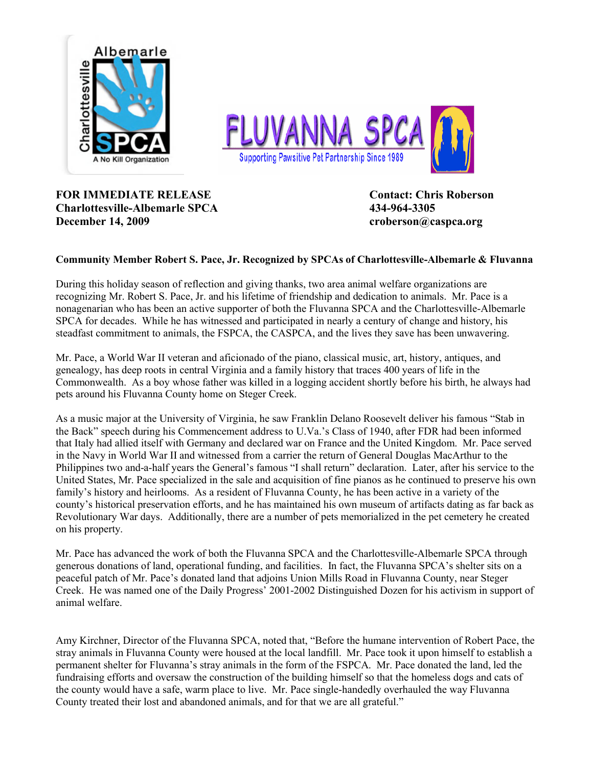



## **FOR IMMEDIATE RELEASE Contact: Chris Roberson Charlottesville-Albemarle SPCA 434-964-3305 December 14, 2009 croberson@caspca.org**

## **Community Member Robert S. Pace, Jr. Recognized by SPCAs of Charlottesville-Albemarle & Fluvanna**

During this holiday season of reflection and giving thanks, two area animal welfare organizations are recognizing Mr. Robert S. Pace, Jr. and his lifetime of friendship and dedication to animals. Mr. Pace is a nonagenarian who has been an active supporter of both the Fluvanna SPCA and the Charlottesville-Albemarle SPCA for decades. While he has witnessed and participated in nearly a century of change and history, his steadfast commitment to animals, the FSPCA, the CASPCA, and the lives they save has been unwavering.

Mr. Pace, a World War II veteran and aficionado of the piano, classical music, art, history, antiques, and genealogy, has deep roots in central Virginia and a family history that traces 400 years of life in the Commonwealth. As a boy whose father was killed in a logging accident shortly before his birth, he always had pets around his Fluvanna County home on Steger Creek.

As a music major at the University of Virginia, he saw Franklin Delano Roosevelt deliver his famous "Stab in the Back" speech during his Commencement address to U.Va.'s Class of 1940, after FDR had been informed that Italy had allied itself with Germany and declared war on France and the United Kingdom. Mr. Pace served in the Navy in World War II and witnessed from a carrier the return of General Douglas MacArthur to the Philippines two and-a-half years the General's famous "I shall return" declaration. Later, after his service to the United States, Mr. Pace specialized in the sale and acquisition of fine pianos as he continued to preserve his own family's history and heirlooms. As a resident of Fluvanna County, he has been active in a variety of the county's historical preservation efforts, and he has maintained his own museum of artifacts dating as far back as Revolutionary War days. Additionally, there are a number of pets memorialized in the pet cemetery he created on his property.

Mr. Pace has advanced the work of both the Fluvanna SPCA and the Charlottesville-Albemarle SPCA through generous donations of land, operational funding, and facilities. In fact, the Fluvanna SPCA's shelter sits on a peaceful patch of Mr. Pace's donated land that adjoins Union Mills Road in Fluvanna County, near Steger Creek. He was named one of the Daily Progress' 2001-2002 Distinguished Dozen for his activism in support of animal welfare.

Amy Kirchner, Director of the Fluvanna SPCA, noted that, "Before the humane intervention of Robert Pace, the stray animals in Fluvanna County were housed at the local landfill. Mr. Pace took it upon himself to establish a permanent shelter for Fluvanna's stray animals in the form of the FSPCA. Mr. Pace donated the land, led the fundraising efforts and oversaw the construction of the building himself so that the homeless dogs and cats of the county would have a safe, warm place to live. Mr. Pace single-handedly overhauled the way Fluvanna County treated their lost and abandoned animals, and for that we are all grateful."